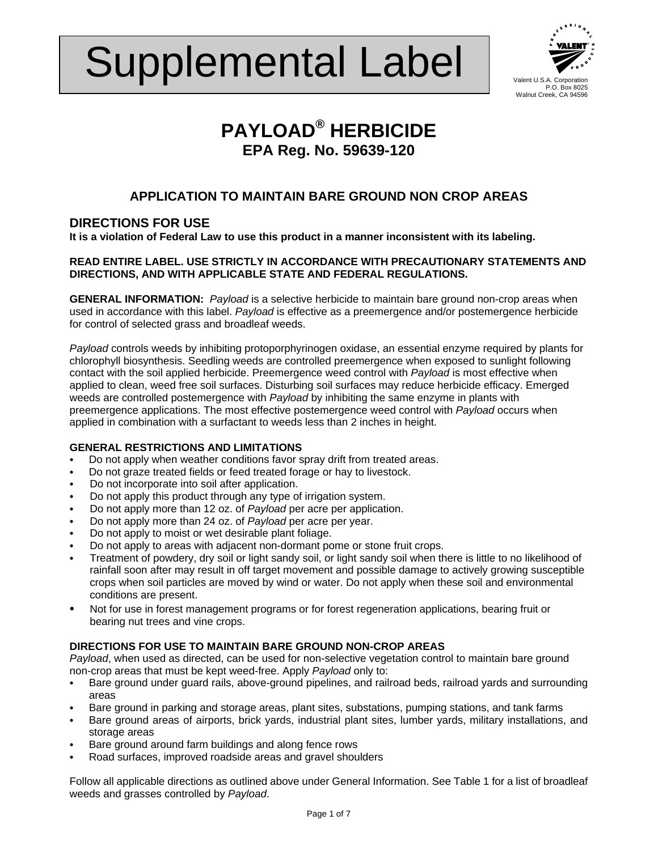# Supplemental Label



# **PAYLOAD® HERBICIDE EPA Reg. No. 59639-120**

# **APPLICATION TO MAINTAIN BARE GROUND NON CROP AREAS**

## **DIRECTIONS FOR USE**

**It is a violation of Federal Law to use this product in a manner inconsistent with its labeling.** 

#### **READ ENTIRE LABEL. USE STRICTLY IN ACCORDANCE WITH PRECAUTIONARY STATEMENTS AND DIRECTIONS, AND WITH APPLICABLE STATE AND FEDERAL REGULATIONS.**

**GENERAL INFORMATION:** *Payload* is a selective herbicide to maintain bare ground non-crop areas when used in accordance with this label. *Payload* is effective as a preemergence and/or postemergence herbicide for control of selected grass and broadleaf weeds.

*Payload* controls weeds by inhibiting protoporphyrinogen oxidase, an essential enzyme required by plants for chlorophyll biosynthesis. Seedling weeds are controlled preemergence when exposed to sunlight following contact with the soil applied herbicide. Preemergence weed control with *Payload* is most effective when applied to clean, weed free soil surfaces. Disturbing soil surfaces may reduce herbicide efficacy. Emerged weeds are controlled postemergence with *Payload* by inhibiting the same enzyme in plants with preemergence applications. The most effective postemergence weed control with *Payload* occurs when applied in combination with a surfactant to weeds less than 2 inches in height.

#### **GENERAL RESTRICTIONS AND LIMITATIONS**

- Do not apply when weather conditions favor spray drift from treated areas.
- Do not graze treated fields or feed treated forage or hay to livestock.
- Do not incorporate into soil after application.
- Do not apply this product through any type of irrigation system.
- C Do not apply more than 12 oz. of *Payload* per acre per application.
- Do not apply more than 24 oz. of *Payload* per acre per year.
- Do not apply to moist or wet desirable plant foliage.
- Do not apply to areas with adjacent non-dormant pome or stone fruit crops.
- C Treatment of powdery, dry soil or light sandy soil, or light sandy soil when there is little to no likelihood of rainfall soon after may result in off target movement and possible damage to actively growing susceptible crops when soil particles are moved by wind or water. Do not apply when these soil and environmental conditions are present.
- Not for use in forest management programs or for forest regeneration applications, bearing fruit or bearing nut trees and vine crops.

#### **DIRECTIONS FOR USE TO MAINTAIN BARE GROUND NON-CROP AREAS**

*Payload*, when used as directed, can be used for non-selective vegetation control to maintain bare ground non-crop areas that must be kept weed-free. Apply *Payload* only to:

- Bare ground under guard rails, above-ground pipelines, and railroad beds, railroad yards and surrounding areas
- Bare ground in parking and storage areas, plant sites, substations, pumping stations, and tank farms
- Bare ground areas of airports, brick yards, industrial plant sites, lumber yards, military installations, and storage areas
- Bare ground around farm buildings and along fence rows
- Road surfaces, improved roadside areas and gravel shoulders

Follow all applicable directions as outlined above under General Information. See Table 1 for a list of broadleaf weeds and grasses controlled by *Payload*.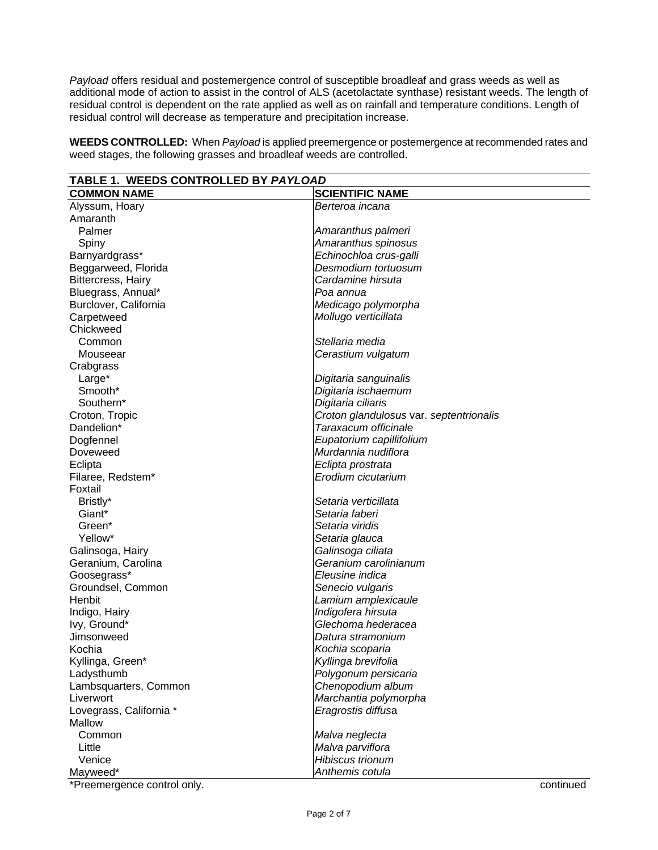*Payload* offers residual and postemergence control of susceptible broadleaf and grass weeds as well as additional mode of action to assist in the control of ALS (acetolactate synthase) resistant weeds. The length of residual control is dependent on the rate applied as well as on rainfall and temperature conditions. Length of residual control will decrease as temperature and precipitation increase.

**WEEDS CONTROLLED:** When *Payload* is applied preemergence or postemergence at recommended rates and weed stages, the following grasses and broadleaf weeds are controlled.

| <b>TABLE 1. WEEDS CONTROLLED BY PAYLOAD</b> |                                         |  |  |
|---------------------------------------------|-----------------------------------------|--|--|
| <b>COMMON NAME</b>                          | <b>SCIENTIFIC NAME</b>                  |  |  |
| Alyssum, Hoary                              | Berteroa incana                         |  |  |
| Amaranth                                    |                                         |  |  |
| Palmer                                      | Amaranthus palmeri                      |  |  |
| Spiny                                       | Amaranthus spinosus                     |  |  |
| Barnyardgrass*                              | Echinochloa crus-galli                  |  |  |
| Beggarweed, Florida                         | Desmodium tortuosum                     |  |  |
| <b>Bittercress, Hairy</b>                   | Cardamine hirsuta                       |  |  |
| Bluegrass, Annual*                          | Poa annua                               |  |  |
| Burclover, California                       | Medicago polymorpha                     |  |  |
| Carpetweed                                  | Mollugo verticillata                    |  |  |
| Chickweed                                   |                                         |  |  |
| Common                                      | Stellaria media                         |  |  |
| Mouseear                                    | Cerastium vulgatum                      |  |  |
| Crabgrass                                   |                                         |  |  |
| Large*                                      | Digitaria sanguinalis                   |  |  |
| Smooth*                                     | Digitaria ischaemum                     |  |  |
| Southern*                                   | Digitaria ciliaris                      |  |  |
| Croton, Tropic                              | Croton glandulosus var. septentrionalis |  |  |
| Dandelion*                                  | Taraxacum officinale                    |  |  |
| Dogfennel                                   | Eupatorium capillifolium                |  |  |
| Doveweed                                    | Murdannia nudiflora                     |  |  |
| Eclipta                                     | Eclipta prostrata                       |  |  |
| Filaree, Redstem*                           | Erodium cicutarium                      |  |  |
| Foxtail                                     |                                         |  |  |
| Bristly*                                    | Setaria verticillata                    |  |  |
| Giant*                                      | Setaria faberi                          |  |  |
| Green*                                      | Setaria viridis                         |  |  |
| Yellow*                                     | Setaria glauca                          |  |  |
| Galinsoga, Hairy                            | Galinsoga ciliata                       |  |  |
| Geranium, Carolina                          | Geranium carolinianum                   |  |  |
| Goosegrass*                                 | Eleusine indica                         |  |  |
| Groundsel, Common                           | Senecio vulgaris                        |  |  |
| Henbit                                      | Lamium amplexicaule                     |  |  |
| Indigo, Hairy                               | Indigofera hirsuta                      |  |  |
| lvy, Ground*                                | Glechoma hederacea                      |  |  |
| Jimsonweed                                  | Datura stramonium                       |  |  |
| Kochia                                      | Kochia scoparia                         |  |  |
| Kyllinga, Green*                            | Kyllinga brevifolia                     |  |  |
| Ladysthumb                                  | Polygonum persicaria                    |  |  |
| Lambsquarters, Common                       | Chenopodium album                       |  |  |
| Liverwort                                   | Marchantia polymorpha                   |  |  |
| Lovegrass, California *                     | Eragrostis diffusa                      |  |  |
| Mallow                                      |                                         |  |  |
| Common                                      | Malva neglecta                          |  |  |
| Little                                      | Malva parviflora                        |  |  |
| Venice                                      | Hibiscus trionum                        |  |  |
| Mayweed*                                    | Anthemis cotula                         |  |  |

\*Preemergence control only. continued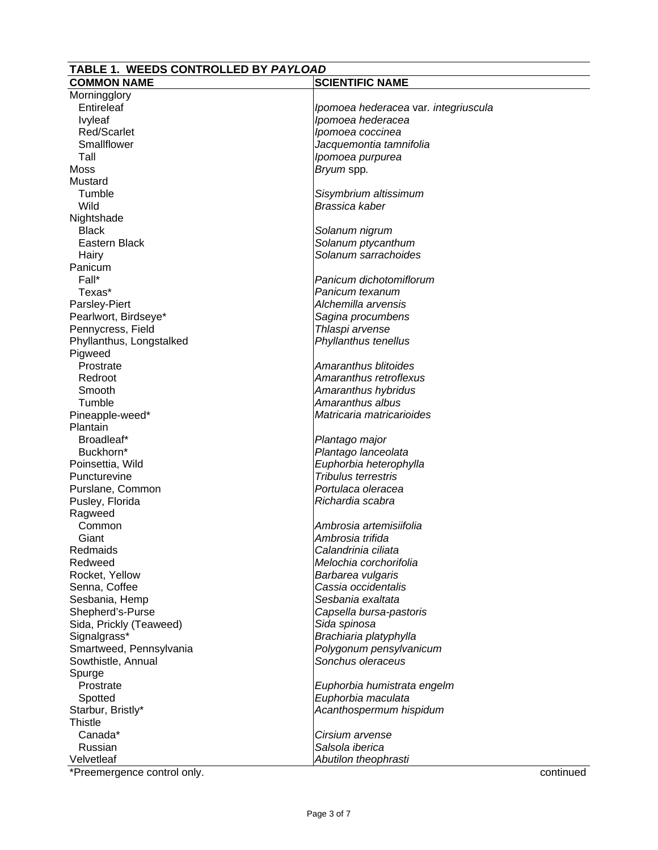#### **TABLE 1. WEEDS CONTROLLED BY** *PAYLOAD* **COMMON NAME** SCIENTIFIC NAME Morningglory<br>Entireleaf Ipomoea hederacea var. integriuscula Ivyleaf *Ipomoea hederacea* Red/Scarlet *Ipomoea coccinea*  Smallflower *Jacquemontia tamnifolia* Tall *Ipomoea purpurea*  Moss *Bryum* spp*.* Mustard Tumble *Sisymbrium altissimum*  Wild *Brassica kaber*  **Nightshade**  Black *Solanum nigrum* Solanum ptycanthum Hairy *Solanum sarrachoides*  Panicum<br>Fall\* **Panicum dichotomiflorum**  Texas\* *Panicum texanum* Parsley-Piert *Alchemilla arvensis* Pearlwort, Birdseye\* *Sagina procumbens* Pennycress, Field *Thlaspi arvense* Phyllanthus, Longstalked *Phyllanthus tenellus* Pigweed<br>Prostrate Prostrate *Amaranthus blitoides* Redroot *Amaranthus retroflexus* Smooth *Amaranthus hybridus* Tumble *Amaranthus albus* Pineapple-weed\* *Matricaria matricarioides* **Plantain**  Broadleaf\* *Plantago major* Buckhorn\* *Plantago lanceolata* Poinsettia, Wild *Euphorbia heterophylla*  Puncturevine *Tribulus terrestris* Purslane, Common *Portulaca oleracea* Pusley, Florida *Richardia scabra* Ragweed<br>Common Common *Ambrosia artemisiifolia* Giant *Ambrosia trifida* Redmaids *Calandrinia ciliata* Redweed *Melochia corchorifolia*  Rocket, Yellow *Barbarea vulgaris* Senna, Coffee *Cassia occidentalis* Sesbania, Hemp *Sesbania exaltata* Shepherd's-Purse *Capsella bursa-pastoris* Sida, Prickly (Teaweed) *Sida spinosa* Signalgrass\* *Brachiaria platyphylla* Smartweed, Pennsylvania *Polygonum pensylvanicum* Sowthistle, Annual *Sonchus oleraceus* Spurge Prostrate *Euphorbia humistrata engelm* Spotted **Euphorbia maculata**<br>Starbur. Bristly\* **Acanthospermum** his Acanthospermum hispidum **Thistle**  Canada\* *Cirsium arvense* Russian *Salsola iberica*

\*Preemergence control only. continued

Velvetleaf *Abutilon theophrasti*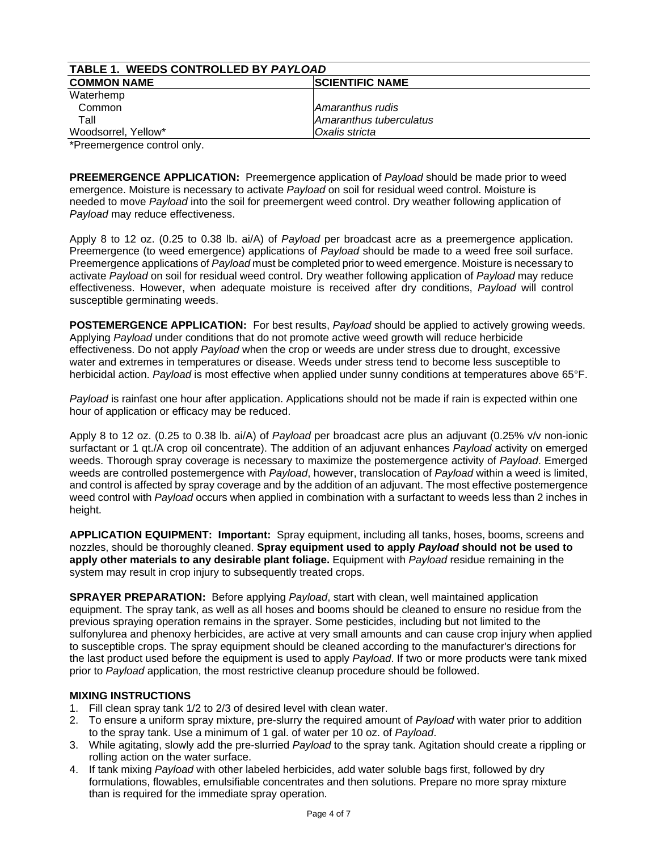| TABLE 1. WEEDS CONTROLLED BY PAYLOAD |                         |  |
|--------------------------------------|-------------------------|--|
| <b>COMMON NAME</b>                   | <b>SCIENTIFIC NAME</b>  |  |
| Waterhemp                            |                         |  |
| Common                               | Amaranthus rudis        |  |
| Tall                                 | Amaranthus tuberculatus |  |
| Woodsorrel, Yellow*                  | Oxalis stricta          |  |
| $*Dusanaanaanaanaa aautiala b.$      |                         |  |

\*Preemergence control only.

**PREEMERGENCE APPLICATION:** Preemergence application of *Payload* should be made prior to weed emergence. Moisture is necessary to activate *Payload* on soil for residual weed control. Moisture is needed to move *Payload* into the soil for preemergent weed control. Dry weather following application of *Payload* may reduce effectiveness.

Apply 8 to 12 oz. (0.25 to 0.38 lb. ai/A) of *Payload* per broadcast acre as a preemergence application. Preemergence (to weed emergence) applications of *Payload* should be made to a weed free soil surface. Preemergence applications of *Payload* must be completed prior to weed emergence. Moisture is necessary to activate *Payload* on soil for residual weed control. Dry weather following application of *Payload* may reduce effectiveness. However, when adequate moisture is received after dry conditions, *Payload* will control susceptible germinating weeds.

**POSTEMERGENCE APPLICATION:** For best results, *Payload* should be applied to actively growing weeds. Applying *Payload* under conditions that do not promote active weed growth will reduce herbicide effectiveness. Do not apply *Payload* when the crop or weeds are under stress due to drought, excessive water and extremes in temperatures or disease. Weeds under stress tend to become less susceptible to herbicidal action. *Payload* is most effective when applied under sunny conditions at temperatures above 65°F.

*Payload* is rainfast one hour after application. Applications should not be made if rain is expected within one hour of application or efficacy may be reduced.

Apply 8 to 12 oz. (0.25 to 0.38 lb. ai/A) of *Payload* per broadcast acre plus an adjuvant (0.25% v/v non-ionic surfactant or 1 qt./A crop oil concentrate). The addition of an adjuvant enhances *Payload* activity on emerged weeds. Thorough spray coverage is necessary to maximize the postemergence activity of *Payload*. Emerged weeds are controlled postemergence with *Payload*, however, translocation of *Payload* within a weed is limited, and control is affected by spray coverage and by the addition of an adjuvant. The most effective postemergence weed control with *Payload* occurs when applied in combination with a surfactant to weeds less than 2 inches in height.

**APPLICATION EQUIPMENT: Important:** Spray equipment, including all tanks, hoses, booms, screens and nozzles, should be thoroughly cleaned. **Spray equipment used to apply** *Payload* **should not be used to apply other materials to any desirable plant foliage.** Equipment with *Payload* residue remaining in the system may result in crop injury to subsequently treated crops.

**SPRAYER PREPARATION:** Before applying *Payload*, start with clean, well maintained application equipment. The spray tank, as well as all hoses and booms should be cleaned to ensure no residue from the previous spraying operation remains in the sprayer. Some pesticides, including but not limited to the sulfonylurea and phenoxy herbicides, are active at very small amounts and can cause crop injury when applied to susceptible crops. The spray equipment should be cleaned according to the manufacturer's directions for the last product used before the equipment is used to apply *Payload*. If two or more products were tank mixed prior to *Payload* application, the most restrictive cleanup procedure should be followed.

#### **MIXING INSTRUCTIONS**

- 1. Fill clean spray tank 1/2 to 2/3 of desired level with clean water.
- 2. To ensure a uniform spray mixture, pre-slurry the required amount of *Payload* with water prior to addition to the spray tank. Use a minimum of 1 gal. of water per 10 oz. of *Payload*.
- 3. While agitating, slowly add the pre-slurried *Payload* to the spray tank. Agitation should create a rippling or rolling action on the water surface.
- 4. If tank mixing *Payload* with other labeled herbicides, add water soluble bags first, followed by dry formulations, flowables, emulsifiable concentrates and then solutions. Prepare no more spray mixture than is required for the immediate spray operation.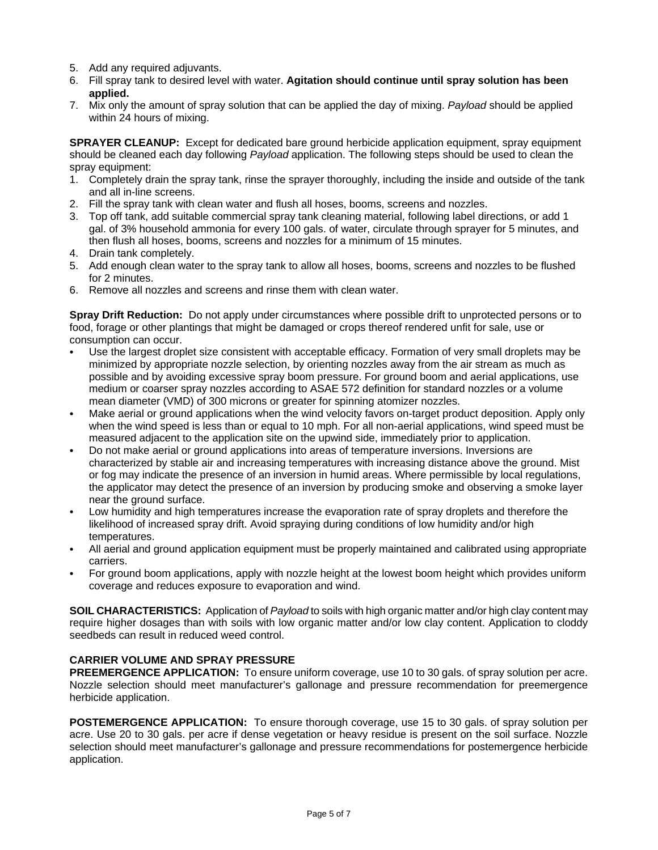- 5. Add any required adjuvants.
- 6. Fill spray tank to desired level with water. **Agitation should continue until spray solution has been applied.**
- 7. Mix only the amount of spray solution that can be applied the day of mixing. *Payload* should be applied within 24 hours of mixing.

**SPRAYER CLEANUP:** Except for dedicated bare ground herbicide application equipment, spray equipment should be cleaned each day following *Payload* application. The following steps should be used to clean the spray equipment:

- 1. Completely drain the spray tank, rinse the sprayer thoroughly, including the inside and outside of the tank and all in-line screens.
- 2. Fill the spray tank with clean water and flush all hoses, booms, screens and nozzles.
- 3. Top off tank, add suitable commercial spray tank cleaning material, following label directions, or add 1 gal. of 3% household ammonia for every 100 gals. of water, circulate through sprayer for 5 minutes, and then flush all hoses, booms, screens and nozzles for a minimum of 15 minutes.
- 4. Drain tank completely.
- 5. Add enough clean water to the spray tank to allow all hoses, booms, screens and nozzles to be flushed for 2 minutes.
- 6. Remove all nozzles and screens and rinse them with clean water.

**Spray Drift Reduction:** Do not apply under circumstances where possible drift to unprotected persons or to food, forage or other plantings that might be damaged or crops thereof rendered unfit for sale, use or consumption can occur.

- Use the largest droplet size consistent with acceptable efficacy. Formation of very small droplets may be minimized by appropriate nozzle selection, by orienting nozzles away from the air stream as much as possible and by avoiding excessive spray boom pressure. For ground boom and aerial applications, use medium or coarser spray nozzles according to ASAE 572 definition for standard nozzles or a volume mean diameter (VMD) of 300 microns or greater for spinning atomizer nozzles.
- Make aerial or ground applications when the wind velocity favors on-target product deposition. Apply only when the wind speed is less than or equal to 10 mph. For all non-aerial applications, wind speed must be measured adjacent to the application site on the upwind side, immediately prior to application.
- C Do not make aerial or ground applications into areas of temperature inversions. Inversions are characterized by stable air and increasing temperatures with increasing distance above the ground. Mist or fog may indicate the presence of an inversion in humid areas. Where permissible by local regulations, the applicator may detect the presence of an inversion by producing smoke and observing a smoke layer near the ground surface.
- Low humidity and high temperatures increase the evaporation rate of spray droplets and therefore the likelihood of increased spray drift. Avoid spraying during conditions of low humidity and/or high temperatures.
- All aerial and ground application equipment must be properly maintained and calibrated using appropriate carriers.
- For ground boom applications, apply with nozzle height at the lowest boom height which provides uniform coverage and reduces exposure to evaporation and wind.

**SOIL CHARACTERISTICS:** Application of *Payload* to soils with high organic matter and/or high clay content may require higher dosages than with soils with low organic matter and/or low clay content. Application to cloddy seedbeds can result in reduced weed control.

#### **CARRIER VOLUME AND SPRAY PRESSURE**

**PREEMERGENCE APPLICATION:** To ensure uniform coverage, use 10 to 30 gals. of spray solution per acre. Nozzle selection should meet manufacturer's gallonage and pressure recommendation for preemergence herbicide application.

**POSTEMERGENCE APPLICATION:** To ensure thorough coverage, use 15 to 30 gals. of spray solution per acre. Use 20 to 30 gals. per acre if dense vegetation or heavy residue is present on the soil surface. Nozzle selection should meet manufacturer's gallonage and pressure recommendations for postemergence herbicide application.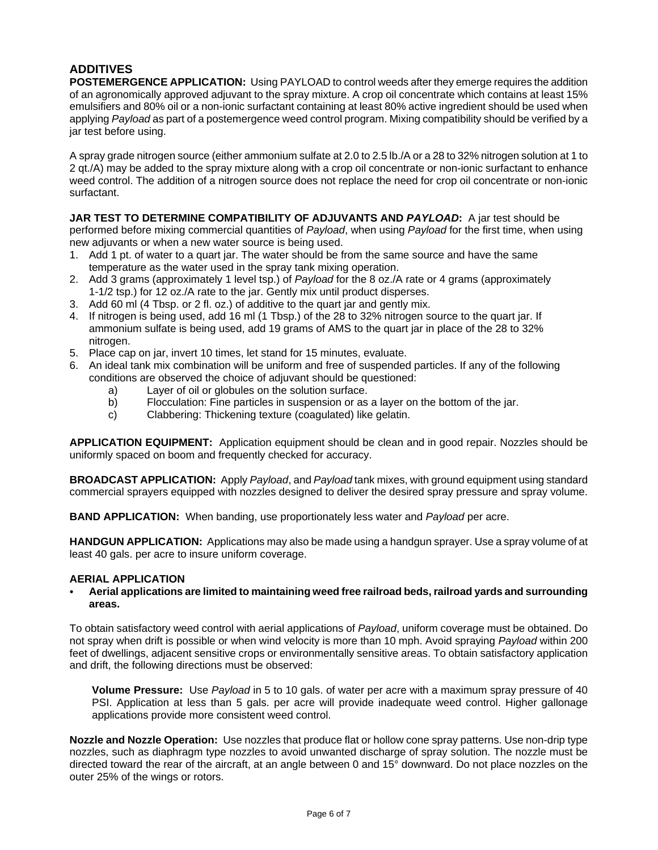## **ADDITIVES**

**POSTEMERGENCE APPLICATION:** Using PAYLOAD to control weeds after they emerge requires the addition of an agronomically approved adjuvant to the spray mixture. A crop oil concentrate which contains at least 15% emulsifiers and 80% oil or a non-ionic surfactant containing at least 80% active ingredient should be used when applying *Payload* as part of a postemergence weed control program. Mixing compatibility should be verified by a jar test before using.

A spray grade nitrogen source (either ammonium sulfate at 2.0 to 2.5 lb./A or a 28 to 32% nitrogen solution at 1 to 2 qt./A) may be added to the spray mixture along with a crop oil concentrate or non-ionic surfactant to enhance weed control. The addition of a nitrogen source does not replace the need for crop oil concentrate or non-ionic surfactant.

#### **JAR TEST TO DETERMINE COMPATIBILITY OF ADJUVANTS AND** *PAYLOAD***:** A jar test should be

performed before mixing commercial quantities of *Payload*, when using *Payload* for the first time, when using new adjuvants or when a new water source is being used.

- 1. Add 1 pt. of water to a quart jar. The water should be from the same source and have the same temperature as the water used in the spray tank mixing operation.
- 2. Add 3 grams (approximately 1 level tsp.) of *Payload* for the 8 oz./A rate or 4 grams (approximately 1-1/2 tsp.) for 12 oz./A rate to the jar. Gently mix until product disperses.
- 3. Add 60 ml (4 Tbsp. or 2 fl. oz.) of additive to the quart jar and gently mix.
- 4. If nitrogen is being used, add 16 ml (1 Tbsp.) of the 28 to 32% nitrogen source to the quart jar. If ammonium sulfate is being used, add 19 grams of AMS to the quart jar in place of the 28 to 32% nitrogen.
- 5. Place cap on jar, invert 10 times, let stand for 15 minutes, evaluate.
- 6. An ideal tank mix combination will be uniform and free of suspended particles. If any of the following conditions are observed the choice of adjuvant should be questioned:
	- a) Layer of oil or globules on the solution surface.
	- b) Flocculation: Fine particles in suspension or as a layer on the bottom of the jar.
	- c) Clabbering: Thickening texture (coagulated) like gelatin.

**APPLICATION EQUIPMENT:** Application equipment should be clean and in good repair. Nozzles should be uniformly spaced on boom and frequently checked for accuracy.

**BROADCAST APPLICATION:** Apply *Payload*, and *Payload* tank mixes, with ground equipment using standard commercial sprayers equipped with nozzles designed to deliver the desired spray pressure and spray volume.

**BAND APPLICATION:** When banding, use proportionately less water and *Payload* per acre.

**HANDGUN APPLICATION:** Applications may also be made using a handgun sprayer. Use a spray volume of at least 40 gals. per acre to insure uniform coverage.

#### **AERIAL APPLICATION**

C **Aerial applications are limited to maintaining weed free railroad beds, railroad yards and surrounding areas.** 

To obtain satisfactory weed control with aerial applications of *Payload*, uniform coverage must be obtained. Do not spray when drift is possible or when wind velocity is more than 10 mph. Avoid spraying *Payload* within 200 feet of dwellings, adjacent sensitive crops or environmentally sensitive areas. To obtain satisfactory application and drift, the following directions must be observed:

**Volume Pressure:** Use *Payload* in 5 to 10 gals. of water per acre with a maximum spray pressure of 40 PSI. Application at less than 5 gals. per acre will provide inadequate weed control. Higher gallonage applications provide more consistent weed control.

**Nozzle and Nozzle Operation:** Use nozzles that produce flat or hollow cone spray patterns. Use non-drip type nozzles, such as diaphragm type nozzles to avoid unwanted discharge of spray solution. The nozzle must be directed toward the rear of the aircraft, at an angle between 0 and 15° downward. Do not place nozzles on the outer 25% of the wings or rotors.